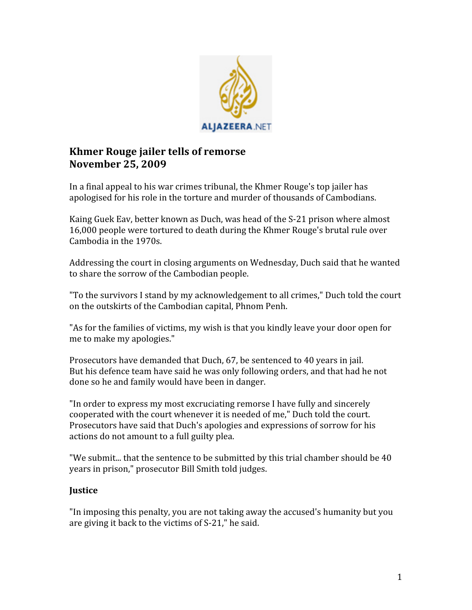

## **Khmer Rouge jailer tells of remorse November 25, 2009**

In
a
final
appeal
to
his
war
crimes
tribunal,
the
Khmer
Rouge's
top
jailer
has apologised
for
his
role
in
the
torture
and
murder
of
thousands
of
Cambodians.

Kaing
Guek
Eav,
better
known
as
Duch,
was
head
of
the
S‐21
prison
where
almost 16,000
people
were
tortured
to
death
during
the
Khmer
Rouge's
brutal
rule
over Cambodia
in
the
1970s.

Addressing
the
court
in
closing
arguments
on
Wednesday,
Duch
said
that
he
wanted to
share
the
sorrow
of
the
Cambodian
people.

"To
the
survivors
I
stand
by
my
acknowledgement
to
all
crimes,"
Duch
told
the
court on
the
outskirts
of
the
Cambodian
capital,
Phnom
Penh.

"As for the families of victims, my wish is that you kindly leave your door open for me
to
make
my
apologies."

Prosecutors have demanded that Duch, 67, be sentenced to 40 years in jail. But
his
defence
team
have
said
he
was
only
following
orders,
and
that
had
he
not done
so
he
and
family
would
have
been
in
danger.

"In order to express my most excruciating remorse I have fully and sincerely cooperated
with
the
court
whenever
it
is
needed
of
me,"
Duch
told
the
court. Prosecutors have said that Duch's apologies and expressions of sorrow for his actions
do
not
amount
to
a
full
guilty
plea.

"We submit... that the sentence to be submitted by this trial chamber should be 40 years
in
prison,"
prosecutor
Bill
Smith
told
judges.

## **Justice**

"In
imposing
this
penalty,
you
are
not
taking
away
the
accused's
humanity
but
you are
giving
it
back
to
the
victims
of
S‐21,"
he
said.